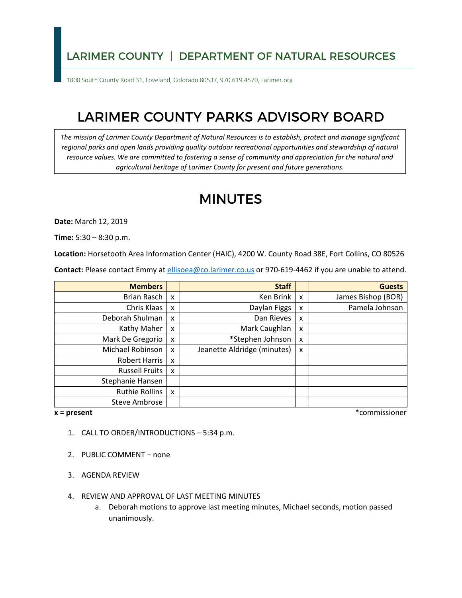## LARIMER COUNTY | DEPARTMENT OF NATURAL RESOURCES

1800 South County Road 31, Loveland, Colorado 80537, 970.619.4570, Larimer.org

## LARIMER COUNTY PARKS ADVISORY BOARD

*The mission of Larimer County Department of Natural Resources is to establish, protect and manage significant regional parks and open lands providing quality outdoor recreational opportunities and stewardship of natural resource values. We are committed to fostering a sense of community and appreciation for the natural and agricultural heritage of Larimer County for present and future generations.* 

## MINUTES

**Date:** March 12, 2019

**Time:** 5:30 – 8:30 p.m.

**Location:** Horsetooth Area Information Center (HAIC), 4200 W. County Road 38E, Fort Collins, CO 80526

**Contact:** Please contact Emmy at [ellisoea@co.larimer.co.us](mailto:ellisoea@co.larimer.co.us) or 970-619-4462 if you are unable to attend.

| <b>Members</b>        |                           | <b>Staff</b>                |   | <b>Guests</b>      |
|-----------------------|---------------------------|-----------------------------|---|--------------------|
| Brian Rasch           | $\mathbf{x}$              | Ken Brink                   | x | James Bishop (BOR) |
| Chris Klaas           | X                         | Daylan Figgs                | x | Pamela Johnson     |
| Deborah Shulman       | $\boldsymbol{\mathsf{x}}$ | Dan Rieves                  | x |                    |
| Kathy Maher           | X                         | Mark Caughlan               | x |                    |
| Mark De Gregorio      | X                         | *Stephen Johnson            | x |                    |
| Michael Robinson      | X                         | Jeanette Aldridge (minutes) | x |                    |
| Robert Harris         | $\boldsymbol{\mathsf{x}}$ |                             |   |                    |
| <b>Russell Fruits</b> | $\boldsymbol{\mathsf{x}}$ |                             |   |                    |
| Stephanie Hansen      |                           |                             |   |                    |
| Ruthie Rollins        | $\boldsymbol{\mathsf{x}}$ |                             |   |                    |
| <b>Steve Ambrose</b>  |                           |                             |   |                    |

 $x = present$ 

**x = present** \*commissioner

- 1. CALL TO ORDER/INTRODUCTIONS 5:34 p.m.
- 2. PUBLIC COMMENT none
- 3. AGENDA REVIEW
- 4. REVIEW AND APPROVAL OF LAST MEETING MINUTES
	- a. Deborah motions to approve last meeting minutes, Michael seconds, motion passed unanimously.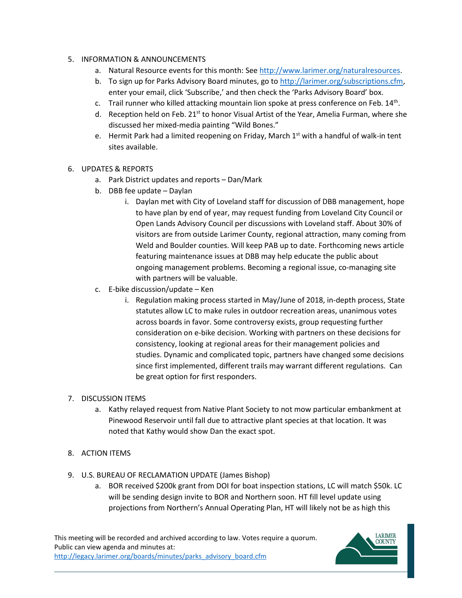- 5. INFORMATION & ANNOUNCEMENTS
	- a. Natural Resource events for this month: See [http://www.larimer.org/naturalresources.](http://www.larimer.org/naturalresources)
	- b. To sign up for Parks Advisory Board minutes, go to [http://larimer.org/subscriptions.cfm,](http://larimer.org/subscriptions.cfm) enter your email, click 'Subscribe,' and then check the 'Parks Advisory Board' box.
	- c. Trail runner who killed attacking mountain lion spoke at press conference on Feb.  $14<sup>th</sup>$ .
	- d. Reception held on Feb. 21<sup>st</sup> to honor Visual Artist of the Year, Amelia Furman, where she discussed her mixed-media painting "Wild Bones."
	- sites available. e. Hermit Park had a limited reopening on Friday, March  $1<sup>st</sup>$  with a handful of walk-in tent
- 6. UPDATES & REPORTS
	- a. Park District updates and reports Dan/Mark
	- b. DBB fee update Daylan
		- i. Daylan met with City of Loveland staff for discussion of DBB management, hope to have plan by end of year, may request funding from Loveland City Council or ongoing management problems. Becoming a regional issue, co-managing site Open Lands Advisory Council per discussions with Loveland staff. About 30% of visitors are from outside Larimer County, regional attraction, many coming from Weld and Boulder counties. Will keep PAB up to date. Forthcoming news article featuring maintenance issues at DBB may help educate the public about with partners will be valuable.
	- c. E-bike discussion/update Ken
		- statutes allow LC to make rules in outdoor recreation areas, unanimous votes since first implemented, different trails may warrant different regulations. Can i. Regulation making process started in May/June of 2018, in-depth process, State across boards in favor. Some controversy exists, group requesting further consideration on e-bike decision. Working with partners on these decisions for consistency, looking at regional areas for their management policies and studies. Dynamic and complicated topic, partners have changed some decisions be great option for first responders.
- 7. DISCUSSION ITEMS
	- noted that Kathy would show Dan the exact spot. a. Kathy relayed request from Native Plant Society to not mow particular embankment at Pinewood Reservoir until fall due to attractive plant species at that location. It was
- 8. ACTION ITEMS
- 9. U.S. BUREAU OF RECLAMATION UPDATE (James Bishop)
	- projections from Northern's Annual Operating Plan, HT will likely not be as high this a. BOR received \$200k grant from DOI for boat inspection stations, LC will match \$50k. LC will be sending design invite to BOR and Northern soon. HT fill level update using

This meeting will be recorded and archived according to law. Votes require a quorum. Public can view agenda and minutes at: [http://legacy.larimer.org/boards/minutes/parks\\_advisory\\_board.cfm](http://legacy.larimer.org/boards/minutes/parks_advisory_board.cfm)